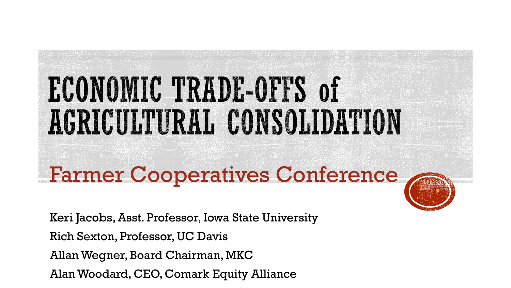# ECONOMIC TRADE-OFFS of AGRICULTURAL CONSOLIDATION

Farmer Cooperatives Conference

Keri Jacobs, Asst. Professor, Iowa State University Rich Sexton, Professor, UC Davis Allan Wegner, Board Chairman, MKC Alan Woodard, CEO, Comark Equity Alliance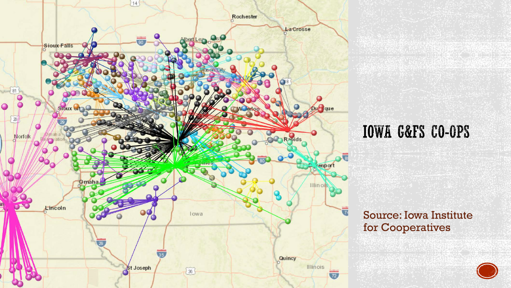

#### **IOWA G&FS CO-OPS**

#### Source: Iowa Institute for Cooperatives

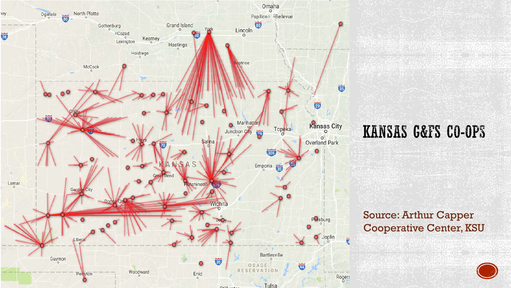

#### KANSAS G&FS CO-OPS

#### Source: Arthur Capper Cooperative Center, KSU

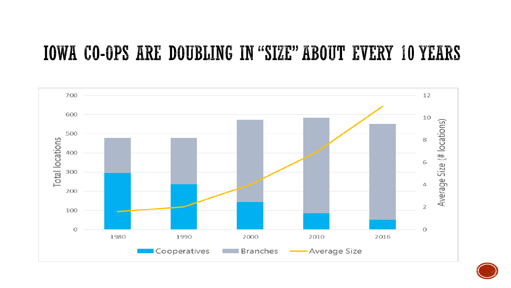#### **IOWA CO-OPS ARE DOUBLING IN "SIZE" ABOUT EVERY 10 YEARS**



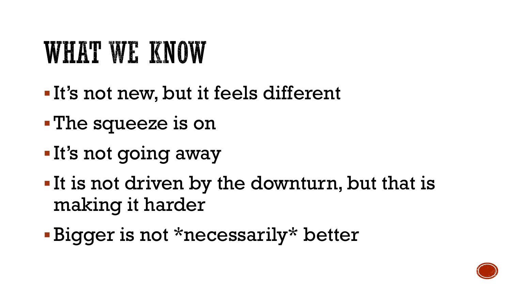## WHAT WE KNOW

- It's not new, but it feels different
- The squeeze is on
- **It's not going away**
- It is not driven by the downturn, but that is making it harder
- Bigger is not \*necessarily\* better

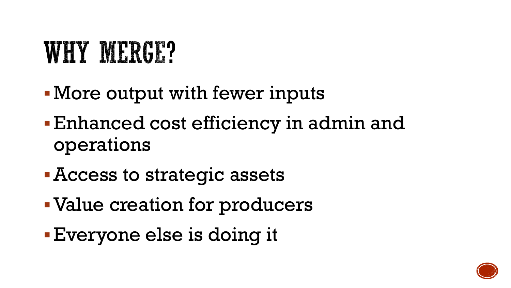## **WHY MERGE?**

- More output with fewer inputs
- Enhanced cost efficiency in admin and operations
- Access to strategic assets
- Value creation for producers
- Everyone else is doing it

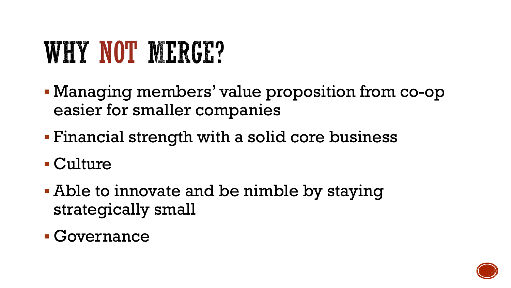## WHY NOT MERGE?

- Managing members' value proposition from co-op easier for smaller companies
- Financial strength with a solid core business
- Culture
- Able to innovate and be nimble by staying strategically small
- Governance

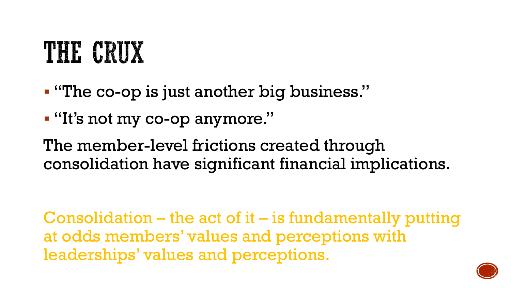## THE CRUX

"The co-op is just another big business."

"It's not my co-op anymore."

The member-level frictions created through consolidation have significant financial implications.

Consolidation – the act of it – is fundamentally putting at odds members' values and perceptions with leaderships' values and perceptions.

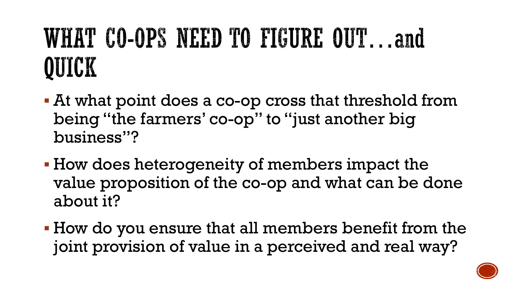## WHAT CO-OPS NEED TO FIGURE OUT...and OUICK

- At what point does a co-op cross that threshold from being "the farmers' co-op" to "just another big business"?
- How does heterogeneity of members impact the value proposition of the co-op and what can be done about it?
- How do you ensure that all members benefit from the joint provision of value in a perceived and real way?

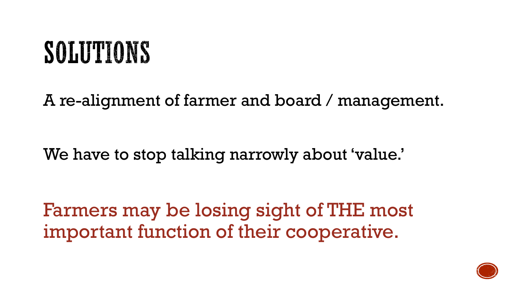## SOLUTIONS

A re-alignment of farmer and board / management.

We have to stop talking narrowly about 'value.'

Farmers may be losing sight of THE most important function of their cooperative.

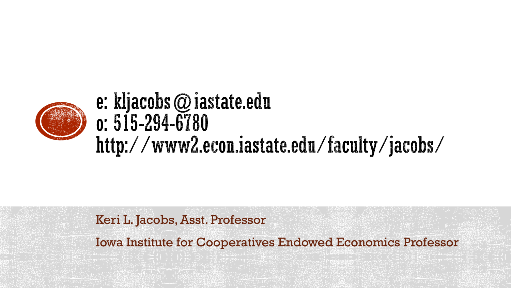

### e: kljacobs  $@$  iastate.edu  $0:515 - 294 - 6780$ http://www2.econ.iastate.edu/faculty/jacobs/

#### Keri L. Jacobs, Asst. Professor

Iowa Institute for Cooperatives Endowed Economics Professor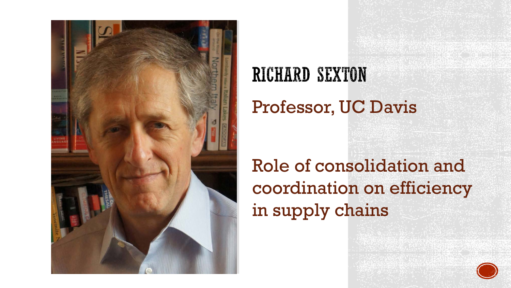

## **RICHARD SEXTON** Professor, UC Davis

### Role of consolidation and coordination on efficiency in supply chains

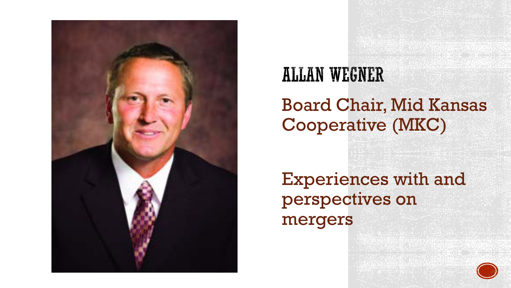

## **ALLAN WEGNER**

#### Board Chair, Mid Kansas Cooperative (MKC)

Experiences with and perspectives on mergers